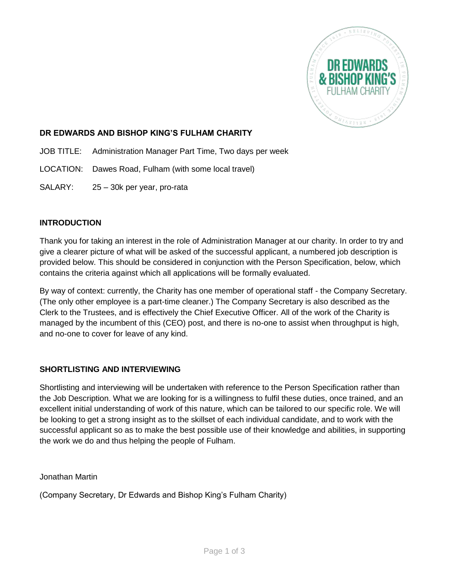

## **DR EDWARDS AND BISHOP KING'S FULHAM CHARITY**

- JOB TITLE: Administration Manager Part Time, Two days per week
- LOCATION: Dawes Road, Fulham (with some local travel)
- SALARY: 25 30k per year, pro-rata

## **INTRODUCTION**

Thank you for taking an interest in the role of Administration Manager at our charity. In order to try and give a clearer picture of what will be asked of the successful applicant, a numbered job description is provided below. This should be considered in conjunction with the Person Specification, below, which contains the criteria against which all applications will be formally evaluated.

By way of context: currently, the Charity has one member of operational staff - the Company Secretary. (The only other employee is a part-time cleaner.) The Company Secretary is also described as the Clerk to the Trustees, and is effectively the Chief Executive Officer. All of the work of the Charity is managed by the incumbent of this (CEO) post, and there is no-one to assist when throughput is high, and no-one to cover for leave of any kind.

#### **SHORTLISTING AND INTERVIEWING**

Shortlisting and interviewing will be undertaken with reference to the Person Specification rather than the Job Description. What we are looking for is a willingness to fulfil these duties, once trained, and an excellent initial understanding of work of this nature, which can be tailored to our specific role. We will be looking to get a strong insight as to the skillset of each individual candidate, and to work with the successful applicant so as to make the best possible use of their knowledge and abilities, in supporting the work we do and thus helping the people of Fulham.

Jonathan Martin

(Company Secretary, Dr Edwards and Bishop King's Fulham Charity)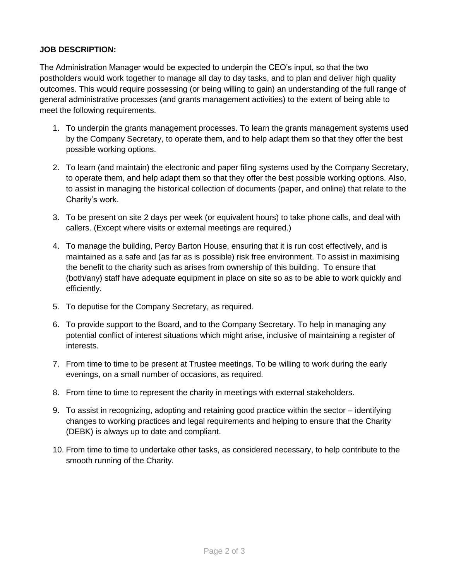## **JOB DESCRIPTION:**

The Administration Manager would be expected to underpin the CEO's input, so that the two postholders would work together to manage all day to day tasks, and to plan and deliver high quality outcomes. This would require possessing (or being willing to gain) an understanding of the full range of general administrative processes (and grants management activities) to the extent of being able to meet the following requirements.

- 1. To underpin the grants management processes. To learn the grants management systems used by the Company Secretary, to operate them, and to help adapt them so that they offer the best possible working options.
- 2. To learn (and maintain) the electronic and paper filing systems used by the Company Secretary, to operate them, and help adapt them so that they offer the best possible working options. Also, to assist in managing the historical collection of documents (paper, and online) that relate to the Charity's work.
- 3. To be present on site 2 days per week (or equivalent hours) to take phone calls, and deal with callers. (Except where visits or external meetings are required.)
- 4. To manage the building, Percy Barton House, ensuring that it is run cost effectively, and is maintained as a safe and (as far as is possible) risk free environment. To assist in maximising the benefit to the charity such as arises from ownership of this building. To ensure that (both/any) staff have adequate equipment in place on site so as to be able to work quickly and efficiently.
- 5. To deputise for the Company Secretary, as required.
- 6. To provide support to the Board, and to the Company Secretary. To help in managing any potential conflict of interest situations which might arise, inclusive of maintaining a register of interests.
- 7. From time to time to be present at Trustee meetings. To be willing to work during the early evenings, on a small number of occasions, as required.
- 8. From time to time to represent the charity in meetings with external stakeholders.
- 9. To assist in recognizing, adopting and retaining good practice within the sector identifying changes to working practices and legal requirements and helping to ensure that the Charity (DEBK) is always up to date and compliant.
- 10. From time to time to undertake other tasks, as considered necessary, to help contribute to the smooth running of the Charity*.*